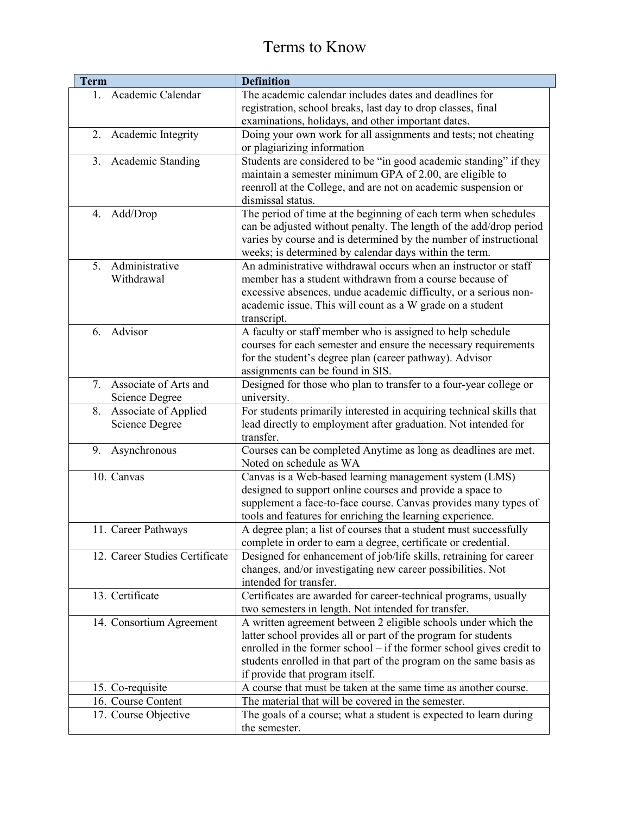| <b>Term</b> |                                | <b>Definition</b>                                                                                                             |
|-------------|--------------------------------|-------------------------------------------------------------------------------------------------------------------------------|
| $1_{-}$     | Academic Calendar              | The academic calendar includes dates and deadlines for                                                                        |
|             |                                | registration, school breaks, last day to drop classes, final                                                                  |
|             |                                | examinations, holidays, and other important dates.                                                                            |
| 2.          | Academic Integrity             | Doing your own work for all assignments and tests; not cheating                                                               |
|             |                                | or plagiarizing information                                                                                                   |
| 3.          | <b>Academic Standing</b>       | Students are considered to be "in good academic standing" if they                                                             |
|             |                                | maintain a semester minimum GPA of 2.00, are eligible to                                                                      |
|             |                                | reenroll at the College, and are not on academic suspension or                                                                |
|             |                                | dismissal status.                                                                                                             |
| 4.          | Add/Drop                       | The period of time at the beginning of each term when schedules                                                               |
|             |                                | can be adjusted without penalty. The length of the add/drop period                                                            |
|             |                                | varies by course and is determined by the number of instructional                                                             |
|             |                                | weeks; is determined by calendar days within the term.                                                                        |
| $5_{-}$     | Administrative                 | An administrative withdrawal occurs when an instructor or staff                                                               |
|             | Withdrawal                     | member has a student withdrawn from a course because of                                                                       |
|             |                                | excessive absences, undue academic difficulty, or a serious non-                                                              |
|             |                                | academic issue. This will count as a W grade on a student                                                                     |
| 6.          | Advisor                        | transcript.                                                                                                                   |
|             |                                | A faculty or staff member who is assigned to help schedule<br>courses for each semester and ensure the necessary requirements |
|             |                                | for the student's degree plan (career pathway). Advisor                                                                       |
|             |                                | assignments can be found in SIS.                                                                                              |
| 7.          | Associate of Arts and          | Designed for those who plan to transfer to a four-year college or                                                             |
|             | Science Degree                 | university.                                                                                                                   |
| 8.          | Associate of Applied           | For students primarily interested in acquiring technical skills that                                                          |
|             | <b>Science Degree</b>          | lead directly to employment after graduation. Not intended for                                                                |
|             |                                | transfer.                                                                                                                     |
| 9.          | Asynchronous                   | Courses can be completed Anytime as long as deadlines are met.                                                                |
|             |                                | Noted on schedule as WA                                                                                                       |
|             | 10. Canvas                     | Canvas is a Web-based learning management system (LMS)                                                                        |
|             |                                | designed to support online courses and provide a space to                                                                     |
|             |                                | supplement a face-to-face course. Canvas provides many types of                                                               |
|             |                                | tools and features for enriching the learning experience.                                                                     |
|             | 11. Career Pathways            | A degree plan; a list of courses that a student must successfully                                                             |
|             |                                | complete in order to earn a degree, certificate or credential.                                                                |
|             | 12. Career Studies Certificate | Designed for enhancement of job/life skills, retraining for career                                                            |
|             |                                | changes, and/or investigating new career possibilities. Not                                                                   |
|             |                                | intended for transfer.                                                                                                        |
|             | 13. Certificate                | Certificates are awarded for career-technical programs, usually                                                               |
|             |                                | two semesters in length. Not intended for transfer.                                                                           |
|             | 14. Consortium Agreement       | A written agreement between 2 eligible schools under which the                                                                |
|             |                                | latter school provides all or part of the program for students                                                                |
|             |                                | enrolled in the former school – if the former school gives credit to                                                          |
|             |                                | students enrolled in that part of the program on the same basis as                                                            |
|             |                                | if provide that program itself.                                                                                               |
|             | 15. Co-requisite               | A course that must be taken at the same time as another course.                                                               |
|             | 16. Course Content             | The material that will be covered in the semester.                                                                            |
|             | 17. Course Objective           | The goals of a course; what a student is expected to learn during                                                             |
|             |                                | the semester.                                                                                                                 |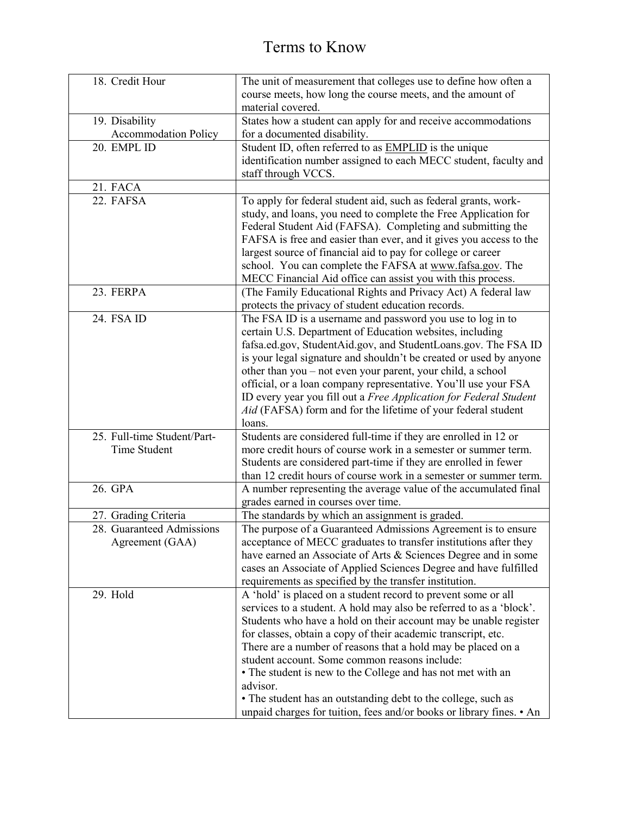| 18. Credit Hour             | The unit of measurement that colleges use to define how often a            |
|-----------------------------|----------------------------------------------------------------------------|
|                             | course meets, how long the course meets, and the amount of                 |
|                             | material covered.                                                          |
| 19. Disability              | States how a student can apply for and receive accommodations              |
| <b>Accommodation Policy</b> | for a documented disability.                                               |
| 20. EMPL ID                 | Student ID, often referred to as <b>EMPLID</b> is the unique               |
|                             | identification number assigned to each MECC student, faculty and           |
|                             | staff through VCCS.                                                        |
| 21. FACA                    |                                                                            |
| 22. FAFSA                   | To apply for federal student aid, such as federal grants, work-            |
|                             | study, and loans, you need to complete the Free Application for            |
|                             | Federal Student Aid (FAFSA). Completing and submitting the                 |
|                             | FAFSA is free and easier than ever, and it gives you access to the         |
|                             | largest source of financial aid to pay for college or career               |
|                             | school. You can complete the FAFSA at www.fafsa.gov. The                   |
|                             | MECC Financial Aid office can assist you with this process.                |
| 23. FERPA                   | (The Family Educational Rights and Privacy Act) A federal law              |
|                             | protects the privacy of student education records.                         |
| 24. FSA ID                  | The FSA ID is a username and password you use to log in to                 |
|                             | certain U.S. Department of Education websites, including                   |
|                             | fafsa.ed.gov, StudentAid.gov, and StudentLoans.gov. The FSA ID             |
|                             | is your legal signature and shouldn't be created or used by anyone         |
|                             | other than you - not even your parent, your child, a school                |
|                             | official, or a loan company representative. You'll use your FSA            |
|                             | ID every year you fill out a Free Application for Federal Student          |
|                             | Aid (FAFSA) form and for the lifetime of your federal student              |
|                             | loans.                                                                     |
| 25. Full-time Student/Part- | Students are considered full-time if they are enrolled in 12 or            |
| Time Student                | more credit hours of course work in a semester or summer term.             |
|                             | Students are considered part-time if they are enrolled in fewer            |
|                             | than 12 credit hours of course work in a semester or summer term.          |
| 26. GPA                     | A number representing the average value of the accumulated final           |
|                             | grades earned in courses over time.                                        |
| 27. Grading Criteria        | The standards by which an assignment is graded.                            |
| 28. Guaranteed Admissions   | The purpose of a Guaranteed Admissions Agreement is to ensure              |
| Agreement (GAA)             | acceptance of MECC graduates to transfer institutions after they           |
|                             | have earned an Associate of Arts & Sciences Degree and in some             |
|                             | cases an Associate of Applied Sciences Degree and have fulfilled           |
|                             | requirements as specified by the transfer institution.                     |
| 29. Hold                    | A 'hold' is placed on a student record to prevent some or all              |
|                             | services to a student. A hold may also be referred to as a 'block'.        |
|                             | Students who have a hold on their account may be unable register           |
|                             | for classes, obtain a copy of their academic transcript, etc.              |
|                             | There are a number of reasons that a hold may be placed on a               |
|                             | student account. Some common reasons include:                              |
|                             | • The student is new to the College and has not met with an                |
|                             | advisor.                                                                   |
|                             | • The student has an outstanding debt to the college, such as              |
|                             | unpaid charges for tuition, fees and/or books or library fines. $\cdot$ An |
|                             |                                                                            |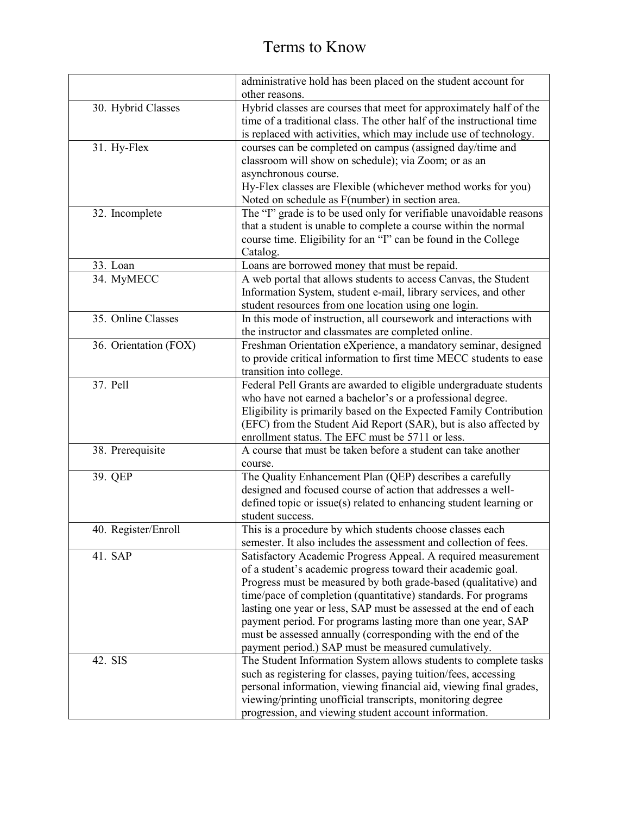|                       | administrative hold has been placed on the student account for        |
|-----------------------|-----------------------------------------------------------------------|
|                       | other reasons.                                                        |
| 30. Hybrid Classes    | Hybrid classes are courses that meet for approximately half of the    |
|                       | time of a traditional class. The other half of the instructional time |
|                       | is replaced with activities, which may include use of technology.     |
| 31. Hy-Flex           | courses can be completed on campus (assigned day/time and             |
|                       | classroom will show on schedule); via Zoom; or as an                  |
|                       | asynchronous course.                                                  |
|                       | Hy-Flex classes are Flexible (whichever method works for you)         |
|                       | Noted on schedule as F(number) in section area.                       |
| 32. Incomplete        | The "I" grade is to be used only for verifiable unavoidable reasons   |
|                       | that a student is unable to complete a course within the normal       |
|                       | course time. Eligibility for an "I" can be found in the College       |
|                       | Catalog.                                                              |
| 33. Loan              | Loans are borrowed money that must be repaid.                         |
| 34. MyMECC            | A web portal that allows students to access Canvas, the Student       |
|                       | Information System, student e-mail, library services, and other       |
|                       | student resources from one location using one login.                  |
| 35. Online Classes    | In this mode of instruction, all coursework and interactions with     |
|                       | the instructor and classmates are completed online.                   |
| 36. Orientation (FOX) | Freshman Orientation eXperience, a mandatory seminar, designed        |
|                       | to provide critical information to first time MECC students to ease   |
|                       | transition into college.                                              |
| 37. Pell              | Federal Pell Grants are awarded to eligible undergraduate students    |
|                       | who have not earned a bachelor's or a professional degree.            |
|                       | Eligibility is primarily based on the Expected Family Contribution    |
|                       | (EFC) from the Student Aid Report (SAR), but is also affected by      |
|                       | enrollment status. The EFC must be 5711 or less.                      |
| 38. Prerequisite      | A course that must be taken before a student can take another         |
|                       | course.                                                               |
| 39. QEP               | The Quality Enhancement Plan (QEP) describes a carefully              |
|                       | designed and focused course of action that addresses a well-          |
|                       | defined topic or issue(s) related to enhancing student learning or    |
|                       | student success.                                                      |
| 40. Register/Enroll   | This is a procedure by which students choose classes each             |
|                       | semester. It also includes the assessment and collection of fees.     |
| 41. SAP               | Satisfactory Academic Progress Appeal. A required measurement         |
|                       | of a student's academic progress toward their academic goal.          |
|                       | Progress must be measured by both grade-based (qualitative) and       |
|                       | time/pace of completion (quantitative) standards. For programs        |
|                       | lasting one year or less, SAP must be assessed at the end of each     |
|                       | payment period. For programs lasting more than one year, SAP          |
|                       | must be assessed annually (corresponding with the end of the          |
|                       | payment period.) SAP must be measured cumulatively.                   |
| 42. SIS               | The Student Information System allows students to complete tasks      |
|                       | such as registering for classes, paying tuition/fees, accessing       |
|                       | personal information, viewing financial aid, viewing final grades,    |
|                       | viewing/printing unofficial transcripts, monitoring degree            |
|                       | progression, and viewing student account information.                 |